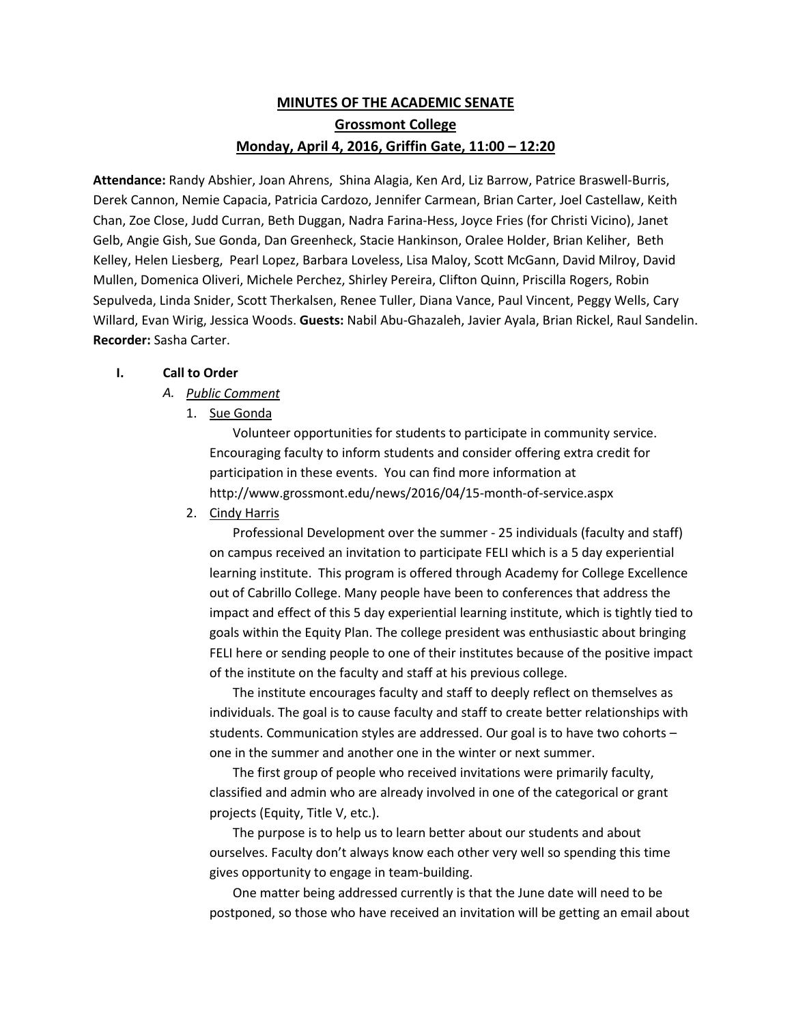# **MINUTES OF THE ACADEMIC SENATE Grossmont College Monday, April 4, 2016, Griffin Gate, 11:00 – 12:20**

**Attendance:** Randy Abshier, Joan Ahrens, Shina Alagia, Ken Ard, Liz Barrow, Patrice Braswell-Burris, Derek Cannon, Nemie Capacia, Patricia Cardozo, Jennifer Carmean, Brian Carter, Joel Castellaw, Keith Chan, Zoe Close, Judd Curran, Beth Duggan, Nadra Farina-Hess, Joyce Fries (for Christi Vicino), Janet Gelb, Angie Gish, Sue Gonda, Dan Greenheck, Stacie Hankinson, Oralee Holder, Brian Keliher, Beth Kelley, Helen Liesberg, Pearl Lopez, Barbara Loveless, Lisa Maloy, Scott McGann, David Milroy, David Mullen, Domenica Oliveri, Michele Perchez, Shirley Pereira, Clifton Quinn, Priscilla Rogers, Robin Sepulveda, Linda Snider, Scott Therkalsen, Renee Tuller, Diana Vance, Paul Vincent, Peggy Wells, Cary Willard, Evan Wirig, Jessica Woods. **Guests:** Nabil Abu-Ghazaleh, Javier Ayala, Brian Rickel, Raul Sandelin. **Recorder:** Sasha Carter.

## **I. Call to Order**

# *A. Public Comment*

1. Sue Gonda

Volunteer opportunities for students to participate in community service. Encouraging faculty to inform students and consider offering extra credit for participation in these events. You can find more information at http://www.grossmont.edu/news/2016/04/15-month-of-service.aspx

2. Cindy Harris

Professional Development over the summer - 25 individuals (faculty and staff) on campus received an invitation to participate FELI which is a 5 day experiential learning institute. This program is offered through Academy for College Excellence out of Cabrillo College. Many people have been to conferences that address the impact and effect of this 5 day experiential learning institute, which is tightly tied to goals within the Equity Plan. The college president was enthusiastic about bringing FELI here or sending people to one of their institutes because of the positive impact of the institute on the faculty and staff at his previous college.

The institute encourages faculty and staff to deeply reflect on themselves as individuals. The goal is to cause faculty and staff to create better relationships with students. Communication styles are addressed. Our goal is to have two cohorts – one in the summer and another one in the winter or next summer.

The first group of people who received invitations were primarily faculty, classified and admin who are already involved in one of the categorical or grant projects (Equity, Title V, etc.).

The purpose is to help us to learn better about our students and about ourselves. Faculty don't always know each other very well so spending this time gives opportunity to engage in team-building.

One matter being addressed currently is that the June date will need to be postponed, so those who have received an invitation will be getting an email about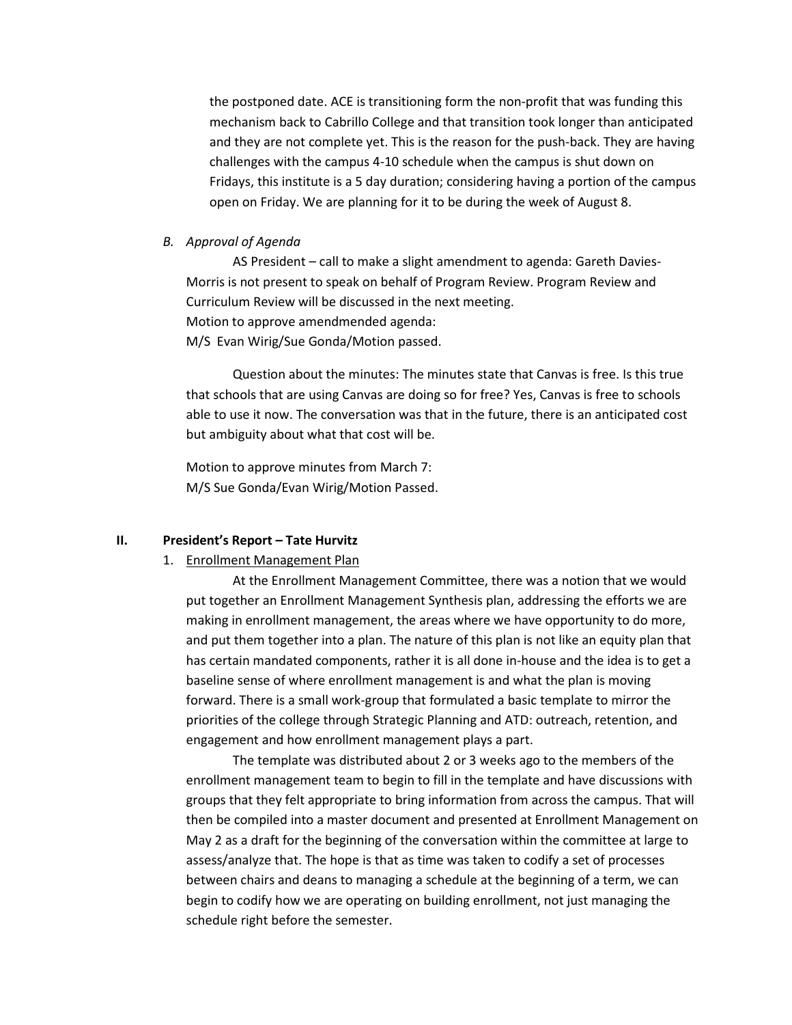the postponed date. ACE is transitioning form the non-profit that was funding this mechanism back to Cabrillo College and that transition took longer than anticipated and they are not complete yet. This is the reason for the push-back. They are having challenges with the campus 4-10 schedule when the campus is shut down on Fridays, this institute is a 5 day duration; considering having a portion of the campus open on Friday. We are planning for it to be during the week of August 8.

## *B. Approval of Agenda*

AS President – call to make a slight amendment to agenda: Gareth Davies-Morris is not present to speak on behalf of Program Review. Program Review and Curriculum Review will be discussed in the next meeting. Motion to approve amendmended agenda: M/S Evan Wirig/Sue Gonda/Motion passed.

Question about the minutes: The minutes state that Canvas is free. Is this true that schools that are using Canvas are doing so for free? Yes, Canvas is free to schools able to use it now. The conversation was that in the future, there is an anticipated cost but ambiguity about what that cost will be.

Motion to approve minutes from March 7: M/S Sue Gonda/Evan Wirig/Motion Passed.

### **II. President's Report – Tate Hurvitz**

### 1. Enrollment Management Plan

At the Enrollment Management Committee, there was a notion that we would put together an Enrollment Management Synthesis plan, addressing the efforts we are making in enrollment management, the areas where we have opportunity to do more, and put them together into a plan. The nature of this plan is not like an equity plan that has certain mandated components, rather it is all done in-house and the idea is to get a baseline sense of where enrollment management is and what the plan is moving forward. There is a small work-group that formulated a basic template to mirror the priorities of the college through Strategic Planning and ATD: outreach, retention, and engagement and how enrollment management plays a part.

The template was distributed about 2 or 3 weeks ago to the members of the enrollment management team to begin to fill in the template and have discussions with groups that they felt appropriate to bring information from across the campus. That will then be compiled into a master document and presented at Enrollment Management on May 2 as a draft for the beginning of the conversation within the committee at large to assess/analyze that. The hope is that as time was taken to codify a set of processes between chairs and deans to managing a schedule at the beginning of a term, we can begin to codify how we are operating on building enrollment, not just managing the schedule right before the semester.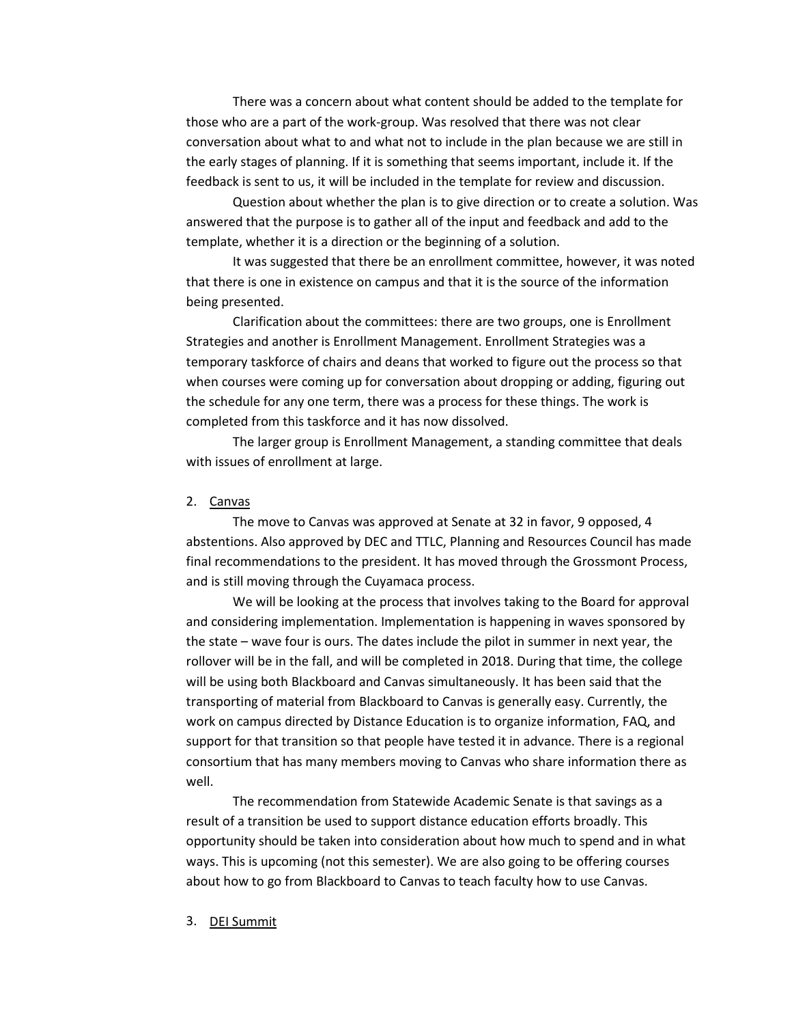There was a concern about what content should be added to the template for those who are a part of the work-group. Was resolved that there was not clear conversation about what to and what not to include in the plan because we are still in the early stages of planning. If it is something that seems important, include it. If the feedback is sent to us, it will be included in the template for review and discussion.

Question about whether the plan is to give direction or to create a solution. Was answered that the purpose is to gather all of the input and feedback and add to the template, whether it is a direction or the beginning of a solution.

It was suggested that there be an enrollment committee, however, it was noted that there is one in existence on campus and that it is the source of the information being presented.

Clarification about the committees: there are two groups, one is Enrollment Strategies and another is Enrollment Management. Enrollment Strategies was a temporary taskforce of chairs and deans that worked to figure out the process so that when courses were coming up for conversation about dropping or adding, figuring out the schedule for any one term, there was a process for these things. The work is completed from this taskforce and it has now dissolved.

The larger group is Enrollment Management, a standing committee that deals with issues of enrollment at large.

#### 2. Canvas

The move to Canvas was approved at Senate at 32 in favor, 9 opposed, 4 abstentions. Also approved by DEC and TTLC, Planning and Resources Council has made final recommendations to the president. It has moved through the Grossmont Process, and is still moving through the Cuyamaca process.

We will be looking at the process that involves taking to the Board for approval and considering implementation. Implementation is happening in waves sponsored by the state – wave four is ours. The dates include the pilot in summer in next year, the rollover will be in the fall, and will be completed in 2018. During that time, the college will be using both Blackboard and Canvas simultaneously. It has been said that the transporting of material from Blackboard to Canvas is generally easy. Currently, the work on campus directed by Distance Education is to organize information, FAQ, and support for that transition so that people have tested it in advance. There is a regional consortium that has many members moving to Canvas who share information there as well.

The recommendation from Statewide Academic Senate is that savings as a result of a transition be used to support distance education efforts broadly. This opportunity should be taken into consideration about how much to spend and in what ways. This is upcoming (not this semester). We are also going to be offering courses about how to go from Blackboard to Canvas to teach faculty how to use Canvas.

3. DEI Summit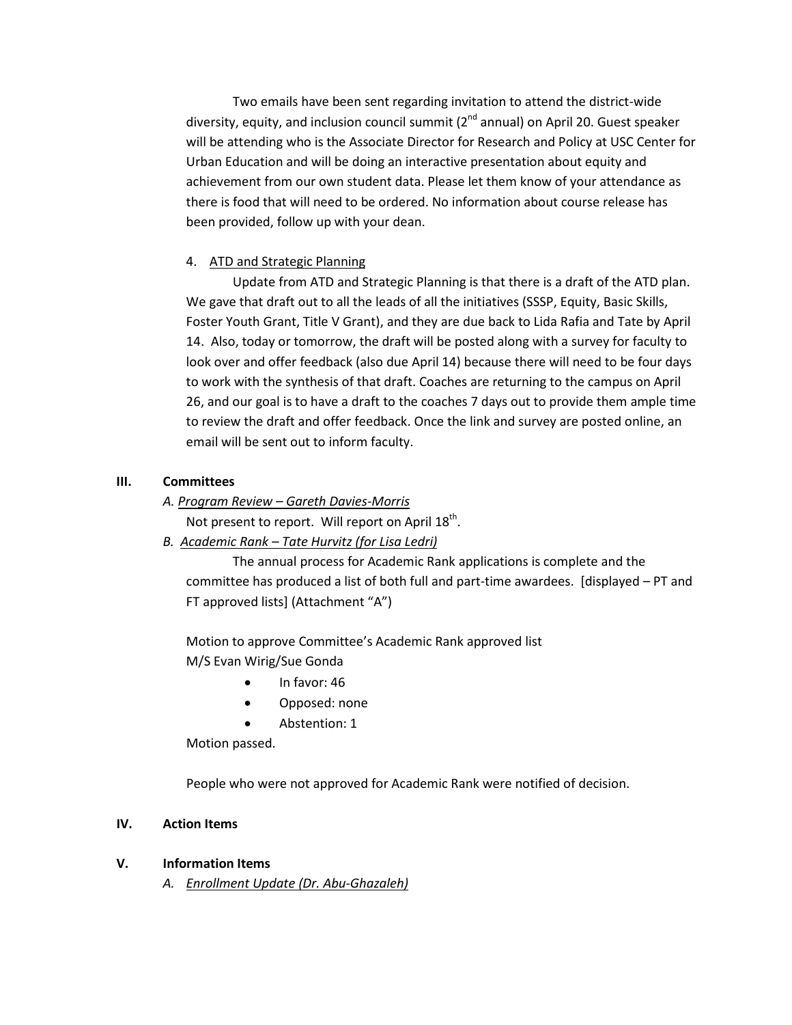Two emails have been sent regarding invitation to attend the district-wide diversity, equity, and inclusion council summit  $(2^{nd}$  annual) on April 20. Guest speaker will be attending who is the Associate Director for Research and Policy at USC Center for Urban Education and will be doing an interactive presentation about equity and achievement from our own student data. Please let them know of your attendance as there is food that will need to be ordered. No information about course release has been provided, follow up with your dean.

# 4. ATD and Strategic Planning

Update from ATD and Strategic Planning is that there is a draft of the ATD plan. We gave that draft out to all the leads of all the initiatives (SSSP, Equity, Basic Skills, Foster Youth Grant, Title V Grant), and they are due back to Lida Rafia and Tate by April 14. Also, today or tomorrow, the draft will be posted along with a survey for faculty to look over and offer feedback (also due April 14) because there will need to be four days to work with the synthesis of that draft. Coaches are returning to the campus on April 26, and our goal is to have a draft to the coaches 7 days out to provide them ample time to review the draft and offer feedback. Once the link and survey are posted online, an email will be sent out to inform faculty.

# **III. Committees**

*A. Program Review – Gareth Davies-Morris*

Not present to report. Will report on April 18<sup>th</sup>.

*B. Academic Rank – Tate Hurvitz (for Lisa Ledri)*

The annual process for Academic Rank applications is complete and the committee has produced a list of both full and part-time awardees. [displayed – PT and FT approved lists] (Attachment "A")

Motion to approve Committee's Academic Rank approved list M/S Evan Wirig/Sue Gonda

- In favor: 46
- Opposed: none
- Abstention: 1

Motion passed.

People who were not approved for Academic Rank were notified of decision.

# **IV. Action Items**

# **V. Information Items**

*A. Enrollment Update (Dr. Abu-Ghazaleh)*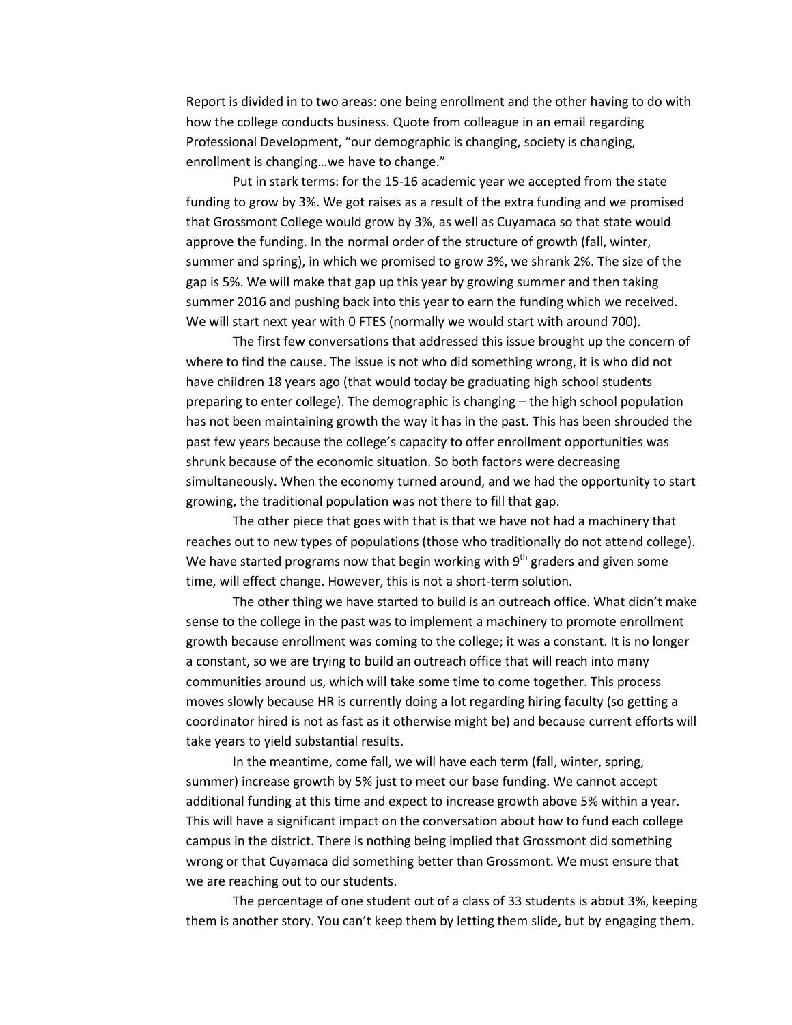Report is divided in to two areas: one being enrollment and the other having to do with how the college conducts business. Quote from colleague in an email regarding Professional Development, "our demographic is changing, society is changing, enrollment is changing…we have to change."

Put in stark terms: for the 15-16 academic year we accepted from the state funding to grow by 3%. We got raises as a result of the extra funding and we promised that Grossmont College would grow by 3%, as well as Cuyamaca so that state would approve the funding. In the normal order of the structure of growth (fall, winter, summer and spring), in which we promised to grow 3%, we shrank 2%. The size of the gap is 5%. We will make that gap up this year by growing summer and then taking summer 2016 and pushing back into this year to earn the funding which we received. We will start next year with 0 FTES (normally we would start with around 700).

The first few conversations that addressed this issue brought up the concern of where to find the cause. The issue is not who did something wrong, it is who did not have children 18 years ago (that would today be graduating high school students preparing to enter college). The demographic is changing – the high school population has not been maintaining growth the way it has in the past. This has been shrouded the past few years because the college's capacity to offer enrollment opportunities was shrunk because of the economic situation. So both factors were decreasing simultaneously. When the economy turned around, and we had the opportunity to start growing, the traditional population was not there to fill that gap.

The other piece that goes with that is that we have not had a machinery that reaches out to new types of populations (those who traditionally do not attend college). We have started programs now that begin working with  $9<sup>th</sup>$  graders and given some time, will effect change. However, this is not a short-term solution.

The other thing we have started to build is an outreach office. What didn't make sense to the college in the past was to implement a machinery to promote enrollment growth because enrollment was coming to the college; it was a constant. It is no longer a constant, so we are trying to build an outreach office that will reach into many communities around us, which will take some time to come together. This process moves slowly because HR is currently doing a lot regarding hiring faculty (so getting a coordinator hired is not as fast as it otherwise might be) and because current efforts will take years to yield substantial results.

In the meantime, come fall, we will have each term (fall, winter, spring, summer) increase growth by 5% just to meet our base funding. We cannot accept additional funding at this time and expect to increase growth above 5% within a year. This will have a significant impact on the conversation about how to fund each college campus in the district. There is nothing being implied that Grossmont did something wrong or that Cuyamaca did something better than Grossmont. We must ensure that we are reaching out to our students.

The percentage of one student out of a class of 33 students is about 3%, keeping them is another story. You can't keep them by letting them slide, but by engaging them.